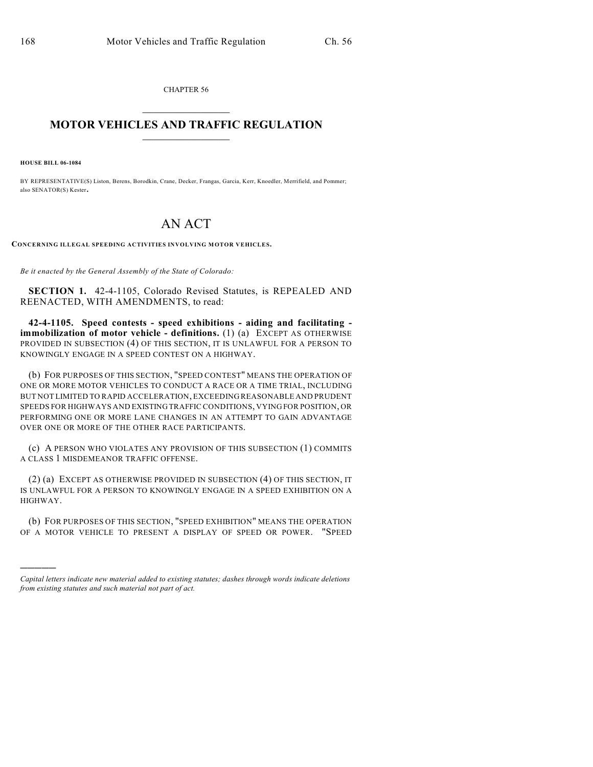CHAPTER 56  $\mathcal{L}_\text{max}$  . The set of the set of the set of the set of the set of the set of the set of the set of the set of the set of the set of the set of the set of the set of the set of the set of the set of the set of the set

## **MOTOR VEHICLES AND TRAFFIC REGULATION**  $\frac{1}{2}$  ,  $\frac{1}{2}$  ,  $\frac{1}{2}$  ,  $\frac{1}{2}$  ,  $\frac{1}{2}$  ,  $\frac{1}{2}$  ,  $\frac{1}{2}$  ,  $\frac{1}{2}$

**HOUSE BILL 06-1084**

)))))

BY REPRESENTATIVE(S) Liston, Berens, Borodkin, Crane, Decker, Frangas, Garcia, Kerr, Knoedler, Merrifield, and Pommer; also SENATOR(S) Kester.

## AN ACT

**CONCERNING ILLEGAL SPEEDING ACTIVITIES INVOLVING MOTOR VEHICLES.**

*Be it enacted by the General Assembly of the State of Colorado:*

**SECTION 1.** 42-4-1105, Colorado Revised Statutes, is REPEALED AND REENACTED, WITH AMENDMENTS, to read:

**42-4-1105. Speed contests - speed exhibitions - aiding and facilitating immobilization of motor vehicle - definitions.** (1) (a) EXCEPT AS OTHERWISE PROVIDED IN SUBSECTION (4) OF THIS SECTION, IT IS UNLAWFUL FOR A PERSON TO KNOWINGLY ENGAGE IN A SPEED CONTEST ON A HIGHWAY.

(b) FOR PURPOSES OF THIS SECTION, "SPEED CONTEST" MEANS THE OPERATION OF ONE OR MORE MOTOR VEHICLES TO CONDUCT A RACE OR A TIME TRIAL, INCLUDING BUT NOT LIMITED TO RAPID ACCELERATION, EXCEEDING REASONABLE AND PRUDENT SPEEDS FOR HIGHWAYS AND EXISTING TRAFFIC CONDITIONS, VYING FOR POSITION, OR PERFORMING ONE OR MORE LANE CHANGES IN AN ATTEMPT TO GAIN ADVANTAGE OVER ONE OR MORE OF THE OTHER RACE PARTICIPANTS.

(c) A PERSON WHO VIOLATES ANY PROVISION OF THIS SUBSECTION (1) COMMITS A CLASS 1 MISDEMEANOR TRAFFIC OFFENSE.

(2) (a) EXCEPT AS OTHERWISE PROVIDED IN SUBSECTION (4) OF THIS SECTION, IT IS UNLAWFUL FOR A PERSON TO KNOWINGLY ENGAGE IN A SPEED EXHIBITION ON A HIGHWAY.

(b) FOR PURPOSES OF THIS SECTION, "SPEED EXHIBITION" MEANS THE OPERATION OF A MOTOR VEHICLE TO PRESENT A DISPLAY OF SPEED OR POWER. "SPEED

*Capital letters indicate new material added to existing statutes; dashes through words indicate deletions from existing statutes and such material not part of act.*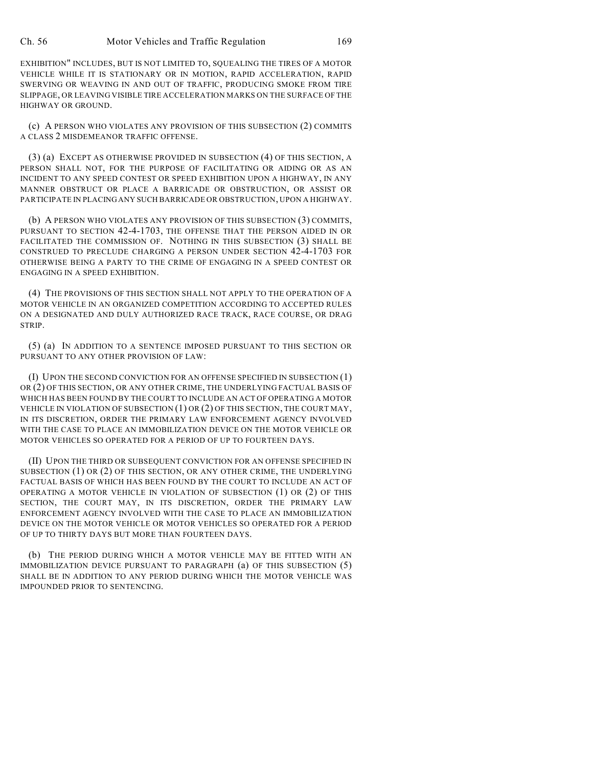EXHIBITION" INCLUDES, BUT IS NOT LIMITED TO, SQUEALING THE TIRES OF A MOTOR VEHICLE WHILE IT IS STATIONARY OR IN MOTION, RAPID ACCELERATION, RAPID SWERVING OR WEAVING IN AND OUT OF TRAFFIC, PRODUCING SMOKE FROM TIRE SLIPPAGE, OR LEAVING VISIBLE TIRE ACCELERATION MARKS ON THE SURFACE OF THE HIGHWAY OR GROUND.

(c) A PERSON WHO VIOLATES ANY PROVISION OF THIS SUBSECTION (2) COMMITS A CLASS 2 MISDEMEANOR TRAFFIC OFFENSE.

(3) (a) EXCEPT AS OTHERWISE PROVIDED IN SUBSECTION (4) OF THIS SECTION, A PERSON SHALL NOT, FOR THE PURPOSE OF FACILITATING OR AIDING OR AS AN INCIDENT TO ANY SPEED CONTEST OR SPEED EXHIBITION UPON A HIGHWAY, IN ANY MANNER OBSTRUCT OR PLACE A BARRICADE OR OBSTRUCTION, OR ASSIST OR PARTICIPATE IN PLACING ANY SUCH BARRICADE OR OBSTRUCTION, UPON A HIGHWAY.

(b) A PERSON WHO VIOLATES ANY PROVISION OF THIS SUBSECTION (3) COMMITS, PURSUANT TO SECTION 42-4-1703, THE OFFENSE THAT THE PERSON AIDED IN OR FACILITATED THE COMMISSION OF. NOTHING IN THIS SUBSECTION (3) SHALL BE CONSTRUED TO PRECLUDE CHARGING A PERSON UNDER SECTION 42-4-1703 FOR OTHERWISE BEING A PARTY TO THE CRIME OF ENGAGING IN A SPEED CONTEST OR ENGAGING IN A SPEED EXHIBITION.

(4) THE PROVISIONS OF THIS SECTION SHALL NOT APPLY TO THE OPERATION OF A MOTOR VEHICLE IN AN ORGANIZED COMPETITION ACCORDING TO ACCEPTED RULES ON A DESIGNATED AND DULY AUTHORIZED RACE TRACK, RACE COURSE, OR DRAG STRIP.

(5) (a) IN ADDITION TO A SENTENCE IMPOSED PURSUANT TO THIS SECTION OR PURSUANT TO ANY OTHER PROVISION OF LAW:

(I) UPON THE SECOND CONVICTION FOR AN OFFENSE SPECIFIED IN SUBSECTION (1) OR (2) OF THIS SECTION, OR ANY OTHER CRIME, THE UNDERLYING FACTUAL BASIS OF WHICH HAS BEEN FOUND BY THE COURT TO INCLUDE AN ACT OF OPERATING A MOTOR VEHICLE IN VIOLATION OF SUBSECTION (1) OR (2) OF THIS SECTION, THE COURT MAY, IN ITS DISCRETION, ORDER THE PRIMARY LAW ENFORCEMENT AGENCY INVOLVED WITH THE CASE TO PLACE AN IMMOBILIZATION DEVICE ON THE MOTOR VEHICLE OR MOTOR VEHICLES SO OPERATED FOR A PERIOD OF UP TO FOURTEEN DAYS.

(II) UPON THE THIRD OR SUBSEQUENT CONVICTION FOR AN OFFENSE SPECIFIED IN SUBSECTION (1) OR (2) OF THIS SECTION, OR ANY OTHER CRIME, THE UNDERLYING FACTUAL BASIS OF WHICH HAS BEEN FOUND BY THE COURT TO INCLUDE AN ACT OF OPERATING A MOTOR VEHICLE IN VIOLATION OF SUBSECTION (1) OR (2) OF THIS SECTION, THE COURT MAY, IN ITS DISCRETION, ORDER THE PRIMARY LAW ENFORCEMENT AGENCY INVOLVED WITH THE CASE TO PLACE AN IMMOBILIZATION DEVICE ON THE MOTOR VEHICLE OR MOTOR VEHICLES SO OPERATED FOR A PERIOD OF UP TO THIRTY DAYS BUT MORE THAN FOURTEEN DAYS.

(b) THE PERIOD DURING WHICH A MOTOR VEHICLE MAY BE FITTED WITH AN IMMOBILIZATION DEVICE PURSUANT TO PARAGRAPH (a) OF THIS SUBSECTION (5) SHALL BE IN ADDITION TO ANY PERIOD DURING WHICH THE MOTOR VEHICLE WAS IMPOUNDED PRIOR TO SENTENCING.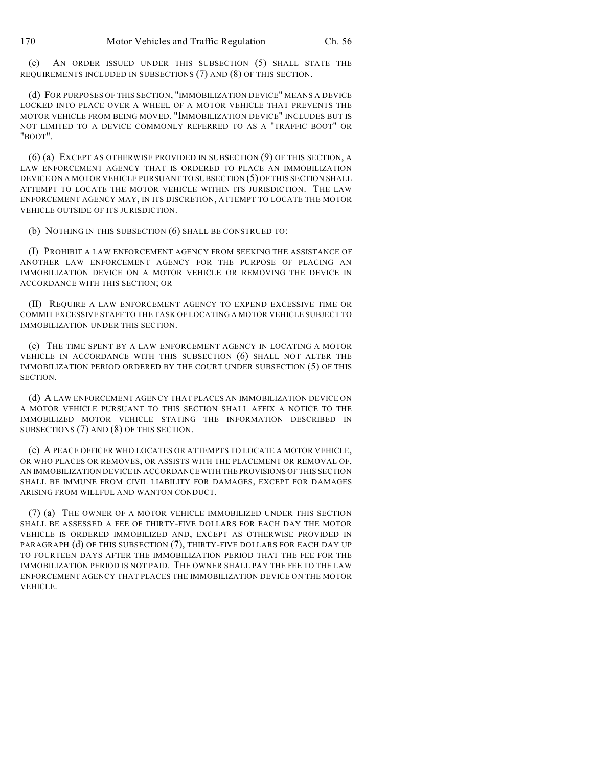(c) AN ORDER ISSUED UNDER THIS SUBSECTION (5) SHALL STATE THE REQUIREMENTS INCLUDED IN SUBSECTIONS (7) AND (8) OF THIS SECTION.

(d) FOR PURPOSES OF THIS SECTION, "IMMOBILIZATION DEVICE" MEANS A DEVICE LOCKED INTO PLACE OVER A WHEEL OF A MOTOR VEHICLE THAT PREVENTS THE MOTOR VEHICLE FROM BEING MOVED. "IMMOBILIZATION DEVICE" INCLUDES BUT IS NOT LIMITED TO A DEVICE COMMONLY REFERRED TO AS A "TRAFFIC BOOT" OR "BOOT".

(6) (a) EXCEPT AS OTHERWISE PROVIDED IN SUBSECTION (9) OF THIS SECTION, A LAW ENFORCEMENT AGENCY THAT IS ORDERED TO PLACE AN IMMOBILIZATION DEVICE ON A MOTOR VEHICLE PURSUANT TO SUBSECTION (5) OF THIS SECTION SHALL ATTEMPT TO LOCATE THE MOTOR VEHICLE WITHIN ITS JURISDICTION. THE LAW ENFORCEMENT AGENCY MAY, IN ITS DISCRETION, ATTEMPT TO LOCATE THE MOTOR VEHICLE OUTSIDE OF ITS JURISDICTION.

(b) NOTHING IN THIS SUBSECTION (6) SHALL BE CONSTRUED TO:

(I) PROHIBIT A LAW ENFORCEMENT AGENCY FROM SEEKING THE ASSISTANCE OF ANOTHER LAW ENFORCEMENT AGENCY FOR THE PURPOSE OF PLACING AN IMMOBILIZATION DEVICE ON A MOTOR VEHICLE OR REMOVING THE DEVICE IN ACCORDANCE WITH THIS SECTION; OR

(II) REQUIRE A LAW ENFORCEMENT AGENCY TO EXPEND EXCESSIVE TIME OR COMMIT EXCESSIVE STAFF TO THE TASK OF LOCATING A MOTOR VEHICLE SUBJECT TO IMMOBILIZATION UNDER THIS SECTION.

(c) THE TIME SPENT BY A LAW ENFORCEMENT AGENCY IN LOCATING A MOTOR VEHICLE IN ACCORDANCE WITH THIS SUBSECTION (6) SHALL NOT ALTER THE IMMOBILIZATION PERIOD ORDERED BY THE COURT UNDER SUBSECTION (5) OF THIS SECTION.

(d) A LAW ENFORCEMENT AGENCY THAT PLACES AN IMMOBILIZATION DEVICE ON A MOTOR VEHICLE PURSUANT TO THIS SECTION SHALL AFFIX A NOTICE TO THE IMMOBILIZED MOTOR VEHICLE STATING THE INFORMATION DESCRIBED IN SUBSECTIONS (7) AND (8) OF THIS SECTION.

(e) A PEACE OFFICER WHO LOCATES OR ATTEMPTS TO LOCATE A MOTOR VEHICLE, OR WHO PLACES OR REMOVES, OR ASSISTS WITH THE PLACEMENT OR REMOVAL OF, AN IMMOBILIZATION DEVICE IN ACCORDANCE WITH THE PROVISIONS OF THIS SECTION SHALL BE IMMUNE FROM CIVIL LIABILITY FOR DAMAGES, EXCEPT FOR DAMAGES ARISING FROM WILLFUL AND WANTON CONDUCT.

(7) (a) THE OWNER OF A MOTOR VEHICLE IMMOBILIZED UNDER THIS SECTION SHALL BE ASSESSED A FEE OF THIRTY-FIVE DOLLARS FOR EACH DAY THE MOTOR VEHICLE IS ORDERED IMMOBILIZED AND, EXCEPT AS OTHERWISE PROVIDED IN PARAGRAPH (d) OF THIS SUBSECTION (7), THIRTY-FIVE DOLLARS FOR EACH DAY UP TO FOURTEEN DAYS AFTER THE IMMOBILIZATION PERIOD THAT THE FEE FOR THE IMMOBILIZATION PERIOD IS NOT PAID. THE OWNER SHALL PAY THE FEE TO THE LAW ENFORCEMENT AGENCY THAT PLACES THE IMMOBILIZATION DEVICE ON THE MOTOR VEHICLE.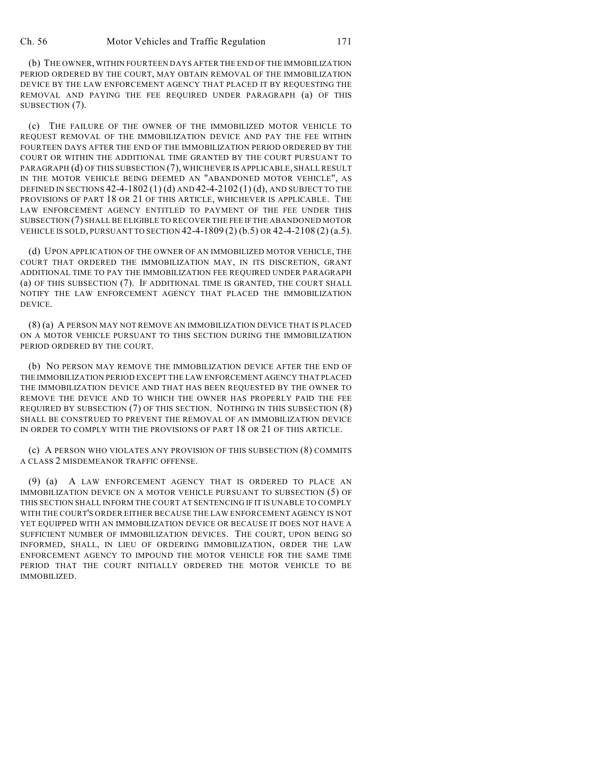(b) THE OWNER, WITHIN FOURTEEN DAYS AFTER THE END OF THE IMMOBILIZATION PERIOD ORDERED BY THE COURT, MAY OBTAIN REMOVAL OF THE IMMOBILIZATION DEVICE BY THE LAW ENFORCEMENT AGENCY THAT PLACED IT BY REQUESTING THE REMOVAL AND PAYING THE FEE REQUIRED UNDER PARAGRAPH (a) OF THIS SUBSECTION (7).

(c) THE FAILURE OF THE OWNER OF THE IMMOBILIZED MOTOR VEHICLE TO REQUEST REMOVAL OF THE IMMOBILIZATION DEVICE AND PAY THE FEE WITHIN FOURTEEN DAYS AFTER THE END OF THE IMMOBILIZATION PERIOD ORDERED BY THE COURT OR WITHIN THE ADDITIONAL TIME GRANTED BY THE COURT PURSUANT TO PARAGRAPH (d) OF THIS SUBSECTION (7), WHICHEVER IS APPLICABLE, SHALL RESULT IN THE MOTOR VEHICLE BEING DEEMED AN "ABANDONED MOTOR VEHICLE", AS DEFINED IN SECTIONS  $42-4-1802(1)$  (d) AND  $42-4-2102(1)$  (d), AND SUBJECT TO THE PROVISIONS OF PART 18 OR 21 OF THIS ARTICLE, WHICHEVER IS APPLICABLE. THE LAW ENFORCEMENT AGENCY ENTITLED TO PAYMENT OF THE FEE UNDER THIS SUBSECTION (7) SHALL BE ELIGIBLE TO RECOVER THE FEE IF THE ABANDONED MOTOR VEHICLE IS SOLD, PURSUANT TO SECTION 42-4-1809 (2) (b.5) OR 42-4-2108 (2) (a.5).

(d) UPON APPLICATION OF THE OWNER OF AN IMMOBILIZED MOTOR VEHICLE, THE COURT THAT ORDERED THE IMMOBILIZATION MAY, IN ITS DISCRETION, GRANT ADDITIONAL TIME TO PAY THE IMMOBILIZATION FEE REQUIRED UNDER PARAGRAPH (a) OF THIS SUBSECTION (7). IF ADDITIONAL TIME IS GRANTED, THE COURT SHALL NOTIFY THE LAW ENFORCEMENT AGENCY THAT PLACED THE IMMOBILIZATION DEVICE.

(8) (a) A PERSON MAY NOT REMOVE AN IMMOBILIZATION DEVICE THAT IS PLACED ON A MOTOR VEHICLE PURSUANT TO THIS SECTION DURING THE IMMOBILIZATION PERIOD ORDERED BY THE COURT.

(b) NO PERSON MAY REMOVE THE IMMOBILIZATION DEVICE AFTER THE END OF THE IMMOBILIZATION PERIOD EXCEPT THE LAW ENFORCEMENT AGENCY THAT PLACED THE IMMOBILIZATION DEVICE AND THAT HAS BEEN REQUESTED BY THE OWNER TO REMOVE THE DEVICE AND TO WHICH THE OWNER HAS PROPERLY PAID THE FEE REQUIRED BY SUBSECTION (7) OF THIS SECTION. NOTHING IN THIS SUBSECTION (8) SHALL BE CONSTRUED TO PREVENT THE REMOVAL OF AN IMMOBILIZATION DEVICE IN ORDER TO COMPLY WITH THE PROVISIONS OF PART 18 OR 21 OF THIS ARTICLE.

(c) A PERSON WHO VIOLATES ANY PROVISION OF THIS SUBSECTION (8) COMMITS A CLASS 2 MISDEMEANOR TRAFFIC OFFENSE.

(9) (a) A LAW ENFORCEMENT AGENCY THAT IS ORDERED TO PLACE AN IMMOBILIZATION DEVICE ON A MOTOR VEHICLE PURSUANT TO SUBSECTION (5) OF THIS SECTION SHALL INFORM THE COURT AT SENTENCING IF IT IS UNABLE TO COMPLY WITH THE COURT'S ORDER EITHER BECAUSE THE LAW ENFORCEMENT AGENCY IS NOT YET EQUIPPED WITH AN IMMOBILIZATION DEVICE OR BECAUSE IT DOES NOT HAVE A SUFFICIENT NUMBER OF IMMOBILIZATION DEVICES. THE COURT, UPON BEING SO INFORMED, SHALL, IN LIEU OF ORDERING IMMOBILIZATION, ORDER THE LAW ENFORCEMENT AGENCY TO IMPOUND THE MOTOR VEHICLE FOR THE SAME TIME PERIOD THAT THE COURT INITIALLY ORDERED THE MOTOR VEHICLE TO BE IMMOBILIZED.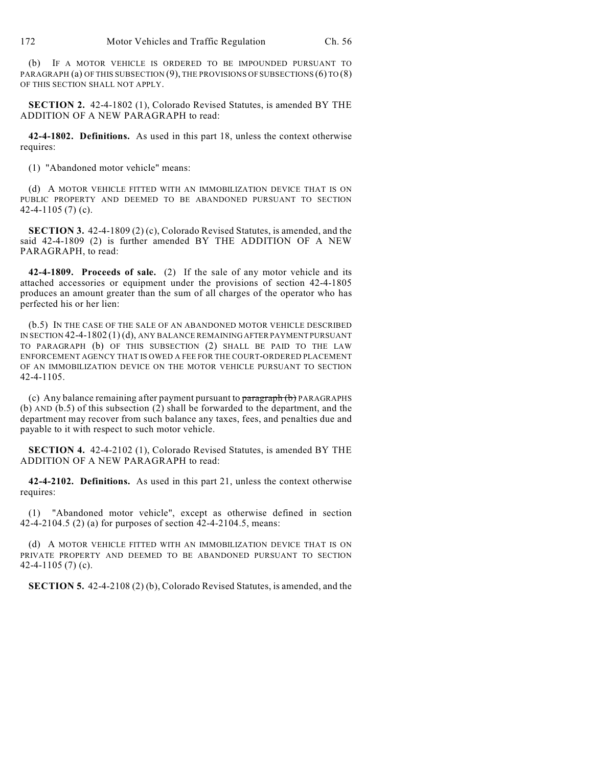(b) IF A MOTOR VEHICLE IS ORDERED TO BE IMPOUNDED PURSUANT TO PARAGRAPH (a) OF THIS SUBSECTION (9), THE PROVISIONS OF SUBSECTIONS (6) TO (8) OF THIS SECTION SHALL NOT APPLY.

**SECTION 2.** 42-4-1802 (1), Colorado Revised Statutes, is amended BY THE ADDITION OF A NEW PARAGRAPH to read:

**42-4-1802. Definitions.** As used in this part 18, unless the context otherwise requires:

(1) "Abandoned motor vehicle" means:

(d) A MOTOR VEHICLE FITTED WITH AN IMMOBILIZATION DEVICE THAT IS ON PUBLIC PROPERTY AND DEEMED TO BE ABANDONED PURSUANT TO SECTION 42-4-1105 (7) (c).

**SECTION 3.** 42-4-1809 (2) (c), Colorado Revised Statutes, is amended, and the said 42-4-1809 (2) is further amended BY THE ADDITION OF A NEW PARAGRAPH, to read:

**42-4-1809. Proceeds of sale.** (2) If the sale of any motor vehicle and its attached accessories or equipment under the provisions of section 42-4-1805 produces an amount greater than the sum of all charges of the operator who has perfected his or her lien:

(b.5) IN THE CASE OF THE SALE OF AN ABANDONED MOTOR VEHICLE DESCRIBED IN SECTION 42-4-1802 (1) (d), ANY BALANCE REMAINING AFTER PAYMENT PURSUANT TO PARAGRAPH (b) OF THIS SUBSECTION (2) SHALL BE PAID TO THE LAW ENFORCEMENT AGENCY THAT IS OWED A FEE FOR THE COURT-ORDERED PLACEMENT OF AN IMMOBILIZATION DEVICE ON THE MOTOR VEHICLE PURSUANT TO SECTION 42-4-1105.

(c) Any balance remaining after payment pursuant to paragraph (b) PARAGRAPHS (b) AND (b.5) of this subsection (2) shall be forwarded to the department, and the department may recover from such balance any taxes, fees, and penalties due and payable to it with respect to such motor vehicle.

**SECTION 4.** 42-4-2102 (1), Colorado Revised Statutes, is amended BY THE ADDITION OF A NEW PARAGRAPH to read:

**42-4-2102. Definitions.** As used in this part 21, unless the context otherwise requires:

(1) "Abandoned motor vehicle", except as otherwise defined in section 42-4-2104.5 (2) (a) for purposes of section 42-4-2104.5, means:

(d) A MOTOR VEHICLE FITTED WITH AN IMMOBILIZATION DEVICE THAT IS ON PRIVATE PROPERTY AND DEEMED TO BE ABANDONED PURSUANT TO SECTION 42-4-1105 (7) (c).

**SECTION 5.** 42-4-2108 (2) (b), Colorado Revised Statutes, is amended, and the